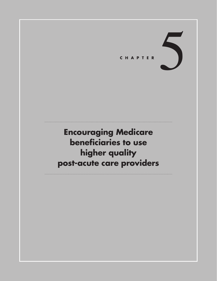CHAPTER

# **Encouraging Medicare beneficiaries to use higher quality post-acute care providers**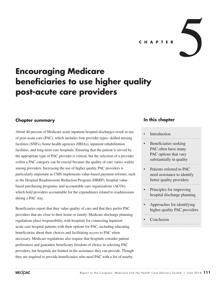• Approaches for identifying higher quality PAC providers

**Conclusion** 

#### **Introduction**

Beneficiaries seeking PAC often have many PAC options that vary substantially in quality

> Patients referred to PAC need assistance to identify better quality providers

• Principles for improving hospital discharge planning

**In this chapter**

# **beneficiaries to use higher quality post-acute care providers**

**Encouraging Medicare** 

## **Chapter summary**

About 40 percent of Medicare acute inpatient hospital discharges result in use of post-acute care (PAC), which includes four provider types: skilled nursing facilities (SNFs), home health agencies (HHAs), inpatient rehabilitation facilities, and long-term care hospitals. Ensuring that the patient is served by the appropriate type of PAC provider is critical, but the selection of a provider *within* a PAC category can be crucial because the quality of care varies widely among providers. Increasing the use of higher quality PAC providers is particularly important as CMS implements value-based payment reforms, such as the Hospital Readmissions Reduction Program (HRRP), hospital valuebased purchasing programs, and accountable care organizations (ACOs), which hold providers accountable for the expenditures related to readmissions during a PAC stay.

Beneficiaries report that they value quality of care and that they prefer PAC providers that are close to their home or family. Medicare discharge planning regulations place responsibility with hospitals for connecting inpatient acute care hospital patients with their options for PAC, including educating beneficiaries about their choices and facilitating access to PAC when necessary. Medicare regulations also require that hospitals consider patient preferences and guarantee beneficiary freedom of choice in selecting PAC providers, but hospitals are limited in the assistance they can provide. Though they are required to provide beneficiaries who need PAC with a list of nearby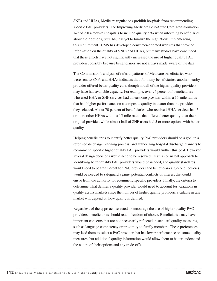SNFs and HHAs, Medicare regulations prohibit hospitals from recommending specific PAC providers. The Improving Medicare Post-Acute Care Transformation Act of 2014 requires hospitals to include quality data when informing beneficiaries about their options, but CMS has yet to finalize the regulations implementing this requirement. CMS has developed consumer-oriented websites that provide information on the quality of SNFs and HHAs, but many studies have concluded that these efforts have not significantly increased the use of higher quality PAC providers, possibly because beneficiaries are not always made aware of the data.

The Commission's analysis of referral patterns of Medicare beneficiaries who were sent to SNFs and HHAs indicates that, for many beneficiaries, another nearby provider offered better quality care, though not all of the higher quality providers may have had available capacity. For example, over 94 percent of beneficiaries who used HHA or SNF services had at least one provider within a 15-mile radius that had higher performance on a composite quality indicator than the provider they selected. About 70 percent of beneficiaries who received HHA services had 5 or more other HHAs within a 15-mile radius that offered better quality than their original provider, while almost half of SNF users had 5 or more options with better quality.

Helping beneficiaries to identify better quality PAC providers should be a goal in a reformed discharge planning process, and authorizing hospital discharge planners to recommend specific higher quality PAC providers would further this goal. However, several design decisions would need to be resolved. First, a consistent approach to identifying better quality PAC providers would be needed, and quality standards would need to be transparent for PAC providers and beneficiaries. Second, policies would be needed to safeguard against potential conflicts of interest that could ensue from the authority to recommend specific providers. Finally, the criteria to determine what defines a quality provider would need to account for variations in quality across markets since the number of higher quality providers available in any market will depend on how quality is defined.

Regardless of the approach selected to encourage the use of higher quality PAC providers, beneficiaries should retain freedom of choice. Beneficiaries may have important concerns that are not necessarily reflected in standard quality measures, such as language competency or proximity to family members. These preferences may lead them to select a PAC provider that has lower performance on some quality measures, but additional quality information would allow them to better understand the nature of their options and any trade-offs.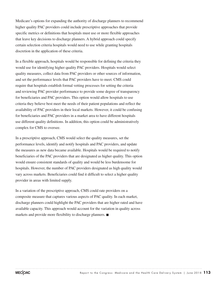Medicare's options for expanding the authority of discharge planners to recommend higher quality PAC providers could include prescriptive approaches that provide specific metrics or definitions that hospitals must use or more flexible approaches that leave key decisions to discharge planners. A hybrid approach could specify certain selection criteria hospitals would need to use while granting hospitals discretion in the application of these criteria.

In a flexible approach, hospitals would be responsible for defining the criteria they would use for identifying higher quality PAC providers. Hospitals would select quality measures, collect data from PAC providers or other sources of information, and set the performance levels that PAC providers have to meet. CMS could require that hospitals establish formal vetting processes for setting the criteria and reviewing PAC provider performance to provide some degree of transparency for beneficiaries and PAC providers. This option would allow hospitals to use criteria they believe best meet the needs of their patient populations and reflect the availability of PAC providers in their local markets. However, it could be confusing for beneficiaries and PAC providers in a market area to have different hospitals use different quality definitions. In addition, this option could be administratively complex for CMS to oversee.

In a prescriptive approach, CMS would select the quality measures, set the performance levels, identify and notify hospitals and PAC providers, and update the measures as new data became available. Hospitals would be required to notify beneficiaries of the PAC providers that are designated as higher quality. This option would ensure consistent standards of quality and would be less burdensome for hospitals. However, the number of PAC providers designated as high quality would vary across markets. Beneficiaries could find it difficult to select a higher quality provider in areas with limited supply.

In a variation of the prescriptive approach, CMS could rate providers on a composite measure that captures various aspects of PAC quality. In each market, discharge planners could highlight the PAC providers that are higher rated and have available capacity. This approach would account for the variation in quality across markets and provide more flexibility to discharge planners. ■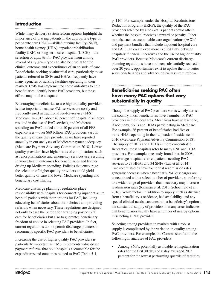## **Introduction**

While many delivery system reform options highlight the importance of placing patients in the appropriate type of post-acute care (PAC)—skilled nursing facility (SNF), home health agency (HHA), inpatient rehabilitation facility (IRF), or long-term care hospital (LTCH)—the selection of a *particular* PAC provider from among several of any given type can also be crucial for the clinical outcome and expenditures of an episode of care. Beneficiaries seeking posthospital care, particularly those patients referred to SNFs and HHAs, frequently have many agencies or nursing facilities operating in their markets. CMS has implemented some initiatives to help beneficiaries identify better PAC providers, but these efforts may not be adequate.

Encouraging beneficiaries to use higher quality providers is also important because PAC services are costly and frequently used in traditional fee-for-service (FFS) Medicare. In 2015, about 40 percent of hospital discharges resulted in the use of PAC services, and Medicare spending on PAC totaled about 10 percent of all FFS expenditures—over \$60 billion. PAC providers vary in the quality of care they provide, as we have reported annually in our analyses of Medicare payment adequacy (Medicare Payment Advisory Commission 2018). Lower quality providers have higher rates of complications such as rehospitalizations and emergency services use, resulting in worse health outcomes for beneficiaries and further driving up Medicare spending. Policies that encourage the selection of higher quality providers could yield better quality of care and lower Medicare spending and beneficiary cost sharing.

Medicare discharge planning regulations place responsibility with hospitals for connecting inpatient acute hospital patients with their options for PAC, including educating beneficiaries about their choices and providing referrals when necessary. These regulations are designed not only to ease the burden for arranging posthospital care for beneficiaries but also to guarantee beneficiary freedom of choice in selecting PAC providers. In fact, current regulations do not permit discharge planners to recommend specific PAC providers to beneficiaries.

Increasing the use of higher quality PAC providers is particularly important as CMS implements value-based payment reforms that hold hospitals accountable for the expenditures and outcomes related to PAC (Table 5-1,

p. 116). For example, under the Hospital Readmissions Reduction Program (HRRP), the quality of the PAC providers selected by a hospital's patients could affect whether the hospital receives a reward or penalty. Other models, such as accountable care organizations (ACOs) and payment bundles that include inpatient hospital care and PAC, can create even more explicit links between hospitals' financial incentives and the use of higher quality PAC providers. Because Medicare's current discharge planning regulations have not been substantially revised in over 20 years, opportunities exist to update them to better serve beneficiaries and advance delivery system reform.

### **Beneficiaries seeking PAC often have many PAC options that vary substantially in quality**

Though the supply of PAC providers varies widely across the country, most beneficiaries have a number of PAC providers in their local area. Most areas have at least one, if not many, SNFs and HHAs participating in Medicare. For example, 86 percent of beneficiaries had five or more HHAs operating in their zip code of residence in 2016 (Medicare Payment Advisory Commission 2018). The supply of IRFs and LTCHs is more concentrated. In practice, most hospitals refer to many SNF and HHA providers. For example, one study found that, in 2008, the average hospital referred patients needing PAC services to 23 HHAs and 34 SNFs (Lau et al. 2014). Two recent studies have found that readmission rates generally decrease when a hospital's PAC discharges are concentrated with a select number of providers, so referring to a wider range of providers than necessary may increase readmission rates (Rahman et al. 2013, Schoenfeld et al. 2016). While factors in addition to supply, such as distance from a beneficiary's residence, bed availability, and any special clinical needs, can constrain a beneficiary's options, the substantial supply of providers in many areas indicates that beneficiaries usually have a number of nearby options in selecting a PAC provider.

Selecting among providers in markets with a robust supply is complicated by the variation in quality among PAC providers. For example, the Commission found the following in analyses of PAC providers:

• Among SNFs, potentially avoidable rehospitalization rates for the first 30 days of a stay averaged 20.2 percent for the lowest performing quartile of facilities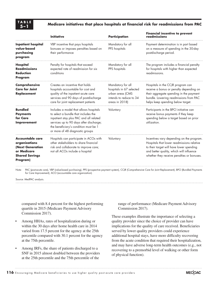#### **5–1 Medicare initiatives that place hospitals at financial risk for readmissions from PAC**

|                                                                                                                  | <b>Initiative</b>                                                                                                                                                                                                                                | Participation                                                                                                  | <b>Financial incentive to prevent</b><br>readmissions                                                                                                                                                                         |
|------------------------------------------------------------------------------------------------------------------|--------------------------------------------------------------------------------------------------------------------------------------------------------------------------------------------------------------------------------------------------|----------------------------------------------------------------------------------------------------------------|-------------------------------------------------------------------------------------------------------------------------------------------------------------------------------------------------------------------------------|
| <b>Inpatient hospital</b><br>value-based<br>purchasing<br>program                                                | VBP incentive that pays hospitals<br>bonuses or imposes penalties based on<br>their performance                                                                                                                                                  | Mandatory for all<br>PPS hospitals                                                                             | Payment determination is in part based<br>on a measure of spending in the 30-day<br>postdischarge period.                                                                                                                     |
| Hospital<br><b>Readmissions</b><br><b>Reduction</b><br>Program                                                   | Penalty for hospitals that exceed<br>expected rate of readmission for six<br>conditions                                                                                                                                                          | Mandatory for all<br>PPS hospitals                                                                             | The program includes a financial penalty<br>for hospitals with higher than expected<br>readmissions.                                                                                                                          |
| Comprehensive<br><b>Care for Joint</b><br>Replacement                                                            | Creates an incentive that holds<br>hospitals accountable for cost and<br>quality of the inpatient acute care<br>services and 90 days of postdischarge<br>care for joint replacement patients                                                     | Mandatory for all<br>hospitals in 67 selected<br>urban areas (CMS<br>intends to reduce to 34<br>areas in 2018) | Hospitals in the CCJR program can<br>receive a bonus or penalty depending on<br>their aggregate spending in the payment<br>bundle. Lowering readmissions from PAC<br>helps keep spending below target.                        |
| <b>Bundled</b><br><b>Payments</b><br>for Care<br>Improvement                                                     | Includes a model that allows hospitals<br>to select a bundle that includes the<br>inpatient stay plus PAC and all related<br>services up to 90 days after discharge;<br>the beneficiary's condition must be 1<br>or more of 48 diagnostic groups | Voluntary                                                                                                      | Participants in the BPCI initiative can<br>receive bonus payments if they keep<br>spending below a target based on prior<br>utilization.                                                                                      |
| <b>Accountable care</b><br>organizations<br>(Next Generation<br>or Medicare<br><b>Shared Savings</b><br>Program) | Hospitals can participate in ACOs with<br>other stakeholders to share financial<br>risk and collaborate to improve care;<br>not all ACOs include a hospital                                                                                      | Voluntary                                                                                                      | Incentives vary depending on the program.<br>Hospitals that lower readmissions relative<br>to their target will have lower spending<br>and better quality, which will influence<br>whether they receive penalties or bonuses. |

Note: PAC (post-acute care), VBP (value-based purchasing), PPS (prospective payment system), CCJR (Comprehensive Care for Joint Replacement), BPCI (Bundled Payments for Care Improvement), ACO (accountable care organization).

Source: MedPAC analysis.

compared with 8.4 percent for the highest performing quartile in 2015 (Medicare Payment Advisory Commission 2017).

- Among HHAs, rates of hospitalization during or within the 30 days after home health care in 2014 varied from 17.5 percent for the agency at the 25th percentile compared with 30.1 percent for the agency at the 75th percentile.
- Among IRFs, the share of patients discharged to a SNF in 2015 almost doubled between the providers at the 25th percentile and the 75th percentile of the

range of performance (Medicare Payment Advisory Commission 2017).

These examples illustrate the importance of selecting a quality provider since the choice of provider can have implications for the quality of care received. Beneficiaries served by lower quality providers could experience additional hospital stays, have more difficulty recovering from the acute condition that required their hospitalization, and may have adverse long-term health outcomes (e.g., not recovering to a premorbid level of walking or other form of physical function).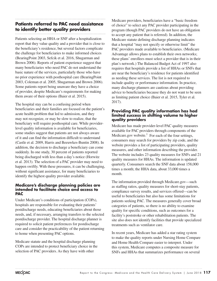## **Patients referred to PAC need assistance to identify better quality providers**

Patients selecting an HHA or SNF after a hospitalization report that they value quality and a provider that is close to the beneficiary's residence, but several factors complicate the challenge for beneficiaries to make informed choices (BearingPoint 2003, Sefcik et al. 2016, Shugarman and Brown 2006). Reports of patient experience suggest that many beneficiaries who need PAC do not understand the basic nature of the services, particularly those who have no prior experience with posthospital care (BearingPoint 2003, Coleman et al. 2005, Shugarman and Brown 2006). Some patients report being unaware they have a choice of provider, despite Medicare's requirements for making them aware of their options (Baier et al. 2015).

The hospital stay can be a confusing period when beneficiaries and their families are focused on the patient's acute health problem that led to admission, and they may not recognize, or may be slow to realize, that the beneficiary will require posthospital care. While providerlevel quality information is available for beneficiaries, some studies suggest that patients are not always aware of it and can find the information difficult to understand (Castle et al. 2009, Harris and Beeuwkes-Buntin 2008). In addition, the decision to discharge a beneficiary can come suddenly. In one study, 30 percent of patients reported being discharged with less than a day's notice (Horwitz et al. 2013). The selection of a PAC provider may need to happen swiftly. With these pressures, it can be challenging, without significant assistance, for many beneficiaries to identify the highest quality provider available.

#### **Medicare's discharge planning policies are intended to facilitate choice and access to PAC**

Under Medicare's conditions of participation (COPs), hospitals are responsible for evaluating their patients' postdischarge needs, educating beneficiaries about those needs, and, if necessary, arranging transfers to the selected postdischarge provider. The hospital discharge planner is required to solicit patient preferences for postdischarge care and consider the practicability of the patient returning to home when presenting PAC options.

Medicare statute and the hospital discharge planning COPs are intended to protect beneficiary choice in the selection of PAC providers. As they have with other

Medicare providers, beneficiaries have a "basic freedom of choice" to select any PAC provider participating in the program (though PAC providers do not have an obligation to accept any patient that is referred). In addition, the Medicare statute defining discharge planning indicates that a hospital "may not specify or otherwise limit" the PAC providers made available to beneficiaries. (Medicare Advantage allows plans to establish their own networks; these plans' enrollees must select a provider that is in their plan's network.) The Balanced Budget Act of 1997 also requires that hospitals provide a list of HHAs or SNFs that are near the beneficiary's residence for patients identified as needing these services. The list is not required to include quality or performance information. In practice, many discharge planners are cautious about providing advice to beneficiaries because they do not want to be seen as limiting patient choice (Baier et al. 2015, Tyler et al. 2017).

#### **Providing PAC quality information has had limited success in shifting volume to higher quality providers**

Medicare has made provider-level PAC quality measures available for PAC providers through components of the Medicare.gov website.<sup>1</sup> For each of the four settings, consumers may search for providers by zip code, and the website provides a list of participating providers, quality measures, and other information describing the provider. The website includes 23 quality measures for SNFs and 21 quality measures for HHAs. The information is updated quarterly. Consumers search the SNF data about 158,000 times a month; the HHA data, about 33,000 times a month.

The information provided through Medicare.gov—such as staffing ratios, quality measures for short-stay patients, compliance survey results, and services offered—can be useful to beneficiaries but also has some limitations for patients seeking PAC. The measures generally cover broad categories of patients, so there is no ability to examine quality for specific conditions, such as outcomes for a facility's poststroke or other rehabilitation patients. The site also does not identify facilities that provide specialized treatments such as ventilator care.

In recent years, Medicare has added a star rating system to make the quality reports under Nursing Home Compare and Home Health Compare easier to interpret. Under this system, Medicare computes a composite measure for SNFs and HHAs that summarizes performance on several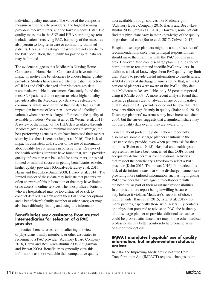individual quality measures. The value of the composite measure is used to rate providers: The highest scoring providers receive 5 stars, and the lowest receive 1 star. The quality measures in the SNF and HHA star rating systems include patients receiving PAC, but many of the measures also pertain to long-term care or community-admitted patients. Because the rating's measures are not specific to the PAC population, their utility for posthospital patients may be limited.

The evidence suggests that Medicare's Nursing Home Compare and Home Health Compare data have minimal impact in motivating beneficiaries to choose higher quality providers. Studies have assessed whether patient selection of HHAs and SNFs changed after Medicare.gov data were made available to consumers. One study found that most SNF patients did not appear to select higher quality providers after the Medicare.gov data were released to consumers, while another found that the data had a small impact (an increase of less than 1 percent of a facility's volume) when there was a large difference in the quality of available providers (Werner et al. 2012, Werner et al. 2011). A review of the impact of the HHA data available through Medicare.gov also found minimal impact: On average, the best performing agencies might have increased their market share by less than 1 percent (Jung et al. 2016). The lack of impact is consistent with studies of the use of information about quality for consumers in other settings. Reviews of the health services literature have found that, while provider quality information can be useful for consumers, it has had limited or minimal success in getting beneficiaries to select higher quality providers (Goncalves-Bradley et al. 2016, Harris and Beeuwkes-Buntin 2008, Hussey et al. 2014). The limited impact of these data may indicate that patients are often unaware of this information or that they have limited or no access to online services when hospitalized. Patients who are hospitalized may be too distracted or sick to conduct detailed research about their PAC provider options, and a beneficiary's family member or other caregiver may also have difficulty finding and using this information.

#### **Beneficiaries seek assistance from trusted intermediaries for selection of a PAC provider**

In practice, beneficiaries report soliciting the views of physicians, family members, or other associates to recommend a PAC provider (Advisory Board Company 2016, Harris and Beeuwkes-Buntin 2008, Shugarman and Brown 2006). Beneficiaries generally view this information as more valuable than comparative quality

data available through sources like Medicare.gov (Advisory Board Company 2016, Harris and Beeuwkes-Buntin 2008, Sefcik et al. 2016). However, some patients find that physicians vary in their knowledge of the quality of posthospital care (Burke et al. 2017, Colwell 2017).

Hospital discharge planners might be a natural source of recommendations since their principal responsibilities should make them familiar with the PAC options in an area. However, Medicare discharge planning rules do not permit them to recommend specific PAC providers. In addition, a lack of knowledge about PAC quality may limit their ability to provide useful information to beneficiaries. A 2004 survey of discharge planners found that, while 63 percent of planners were aware of the PAC quality data that Medicare makes available, only 38 percent reported using it (Castle 2009). A more recent analysis found that discharge planners are not always aware of comparative quality data on PAC providers or do not believe that PAC providers differ significantly in quality (Baier et al. 2015). Discharge planners' awareness may have increased since 2004, but the survey suggests that a significant share may not use quality data even if they are aware of it.

Concern about protecting patient choice reportedly also makes some discharge planners cautious in the assistance they provide, even when patients ask for their opinions (Baier et al. 2015). Hospital and health system representatives have been concerned that COPs do not adequately define permissible educational activities that respect the beneficiary's freedom to select a PAC provider (Kahn 2015, Thompson 2016). In practice, this lack of definition means that some discharge planners see providing more tailored information, such as highlighting PAC providers that have agreed to collaborate with the hospital, as part of their assistance responsibilities. In contrast, others report being unwilling because they believe it violates Medicare's freedom of choice requirements (Baier et al. 2015, Tyler et al. 2017). For many patients, especially those who lack family contacts or a physician prepared to advise on PAC, the hesitancy of a discharge planner to provide additional assistance could be problematic since there may not be other medical professionals in a better position to help beneficiaries consider their options.

#### **IMPACT mandates hospitals' use of quality information, but implementation status is unclear**

In 2014, the Improving Medicare Post-Acute Care Transformation Act (IMPACT) required changes to the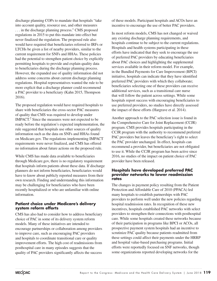discharge planning COPs to mandate that hospitals "take into account quality, resource use, and other measures . . . in the discharge planning process." CMS proposed regulations in 2015 to put this mandate into effect but never finalized the regulation. The proposed rule also would have required that beneficiaries referred to IRFs or LTCHs be given a list of nearby providers, similar to the current requirement for SNFs and HHAs. These policies had the potential to strengthen patient choice by explicitly permitting hospitals to provide and explain quality data to beneficiaries during the discharge planning process. However, the expanded use of quality information did not address some concerns about current discharge planning regulations. Hospital representatives wanted the rule to be more explicit that a discharge planner could recommend a PAC provider to a beneficiary (Kahn 2015, Thompson 2016).

The proposed regulation would have required hospitals to share with beneficiaries the cross-sector PAC measures of quality that CMS was required to develop under IMPACT.<sup>2</sup> Since the measures were not expected to be ready before the regulation's expected implementation, the rule suggested that hospitals use other sources of quality information such as the data on SNFs and HHAs found on Medicare.gov. The regulations implementing IMPACT requirements were never finalized, and CMS has offered no information about future actions on the proposed rule.

While CMS has made data available to beneficiaries through Medicare.gov, there is no regulatory requirement that hospitals inform patients about these data. If discharge planners do not inform beneficiaries, beneficiaries would have to know about publicly reported measures from their own research. Finding and understanding this information may be challenging for beneficiaries who have been recently hospitalized or who are unfamiliar with online information.

#### **Patient choice under Medicare's delivery system reform efforts**

CMS has also had to consider how to address beneficiary choice of PAC in some of its delivery system reform models. Many of these initiatives are intended to encourage partnerships or collaboration among providers to improve care, such as encouraging PAC providers and hospitals to coordinate transitional care or quality improvement efforts. The high cost of readmissions from posthospital care in many episodes suggests that the quality of PAC providers significantly affects the success

of these models. Participant hospitals and ACOs have an incentive to encourage the use of better PAC providers.

In most reform models, CMS has not changed or waived any existing discharge planning requirements, and hospitals continue to be subject to the current regulations. Hospitals and health systems participating in these efforts have indicated that they seek to encourage the use of preferred PAC providers by educating beneficiaries about PAC choices and highlighting the supplemental services available in their reform model. For example, in the Bundled Payments for Care Improvement (BPCI) initiative, hospitals can indicate that they have identified preferred PAC providers with which they collaborate; beneficiaries selecting one of these providers can receive additional services, such as a transitional care nurse that will follow the patient across settings. While some hospitals report success with encouraging beneficiaries to use preferred providers, no studies have directly assessed the impact of these efforts (Hargrave et al. 2014).

Another approach to the PAC selection issue is found in the Comprehensive Care for Joint Replacement (CCJR) program. CMS provides hospitals participating in the CCJR program with the authority to recommend preferred PAC providers but leaves the beneficiary's right to select the PAC provider unchanged. In effect, hospitals can recommend a provider, but beneficiaries are not obligated to use it. While the CCJR program has been active since 2016, no studies of the impact on patient choice of PAC provider have been released.

#### **Hospitals have developed preferred PAC provider networks to lower readmission rates**

The changes in payment policy resulting from the Patient Protection and Affordable Care of 2010 (PPACA) led many hospitals to establish partnerships with PAC providers to perform well under the new policies regarding hospital readmission rates. In recognition of these new incentives, hospitals established PAC networks with select providers to strengthen their connections with posthospital care. While some hospitals created these networks because of their participation in programs like BPCI or ACOs, all prospective payment system hospitals had an incentive to scrutinize PAC quality because patients readmitted from these settings could affect their payments under the HRRP and hospital value-based purchasing programs. Initial efforts were reportedly focused on SNF networks, though some organizations reported developing networks for the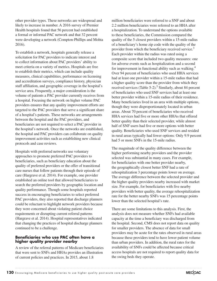other provider types. These networks are widespread and likely to increase in number. A 2016 survey of Premier Health hospitals found that 56 percent had established a formal or informal PAC network and that 32 percent were developing a network (Compton-Phillips and Mohta 2016).

To establish a network, hospitals generally release a solicitation for PAC providers to indicate interest and to collect information about PAC providers' ability to meet criteria on a variety of metrics. Hospitals are free to establish their metrics, which can include quality measures, clinical capabilities, performance on licensing and accreditation surveys, compliance history, physician staff affiliation, and geographic coverage in the hospital's service area. Frequently, a major consideration is the volume of patients a PAC provider currently receives from a hospital. Focusing the network on higher volume PAC providers ensures that any quality improvement efforts are targeted to the PAC providers that serve a significant share of a hospital's patients. These networks are arrangements between the hospital and the PAC providers, and beneficiaries are not required to select a PAC provider in the hospital's network. Once the networks are established, the hospital and PAC providers can collaborate on quality improvement activities such as establishing new clinical protocols and case reviews.

Hospitals with preferred networks use voluntary approaches to promote preferred PAC providers to beneficiaries, such as beneficiary education about the quality of preferred providers or the offer of transitional care nurses that follow patients through their episode of care (Hargrave et al. 2014). For example, one provider established an online tool that allowed beneficiaries to search the preferred providers by geographic location and quality performance. Though some hospitals reported success in encouraging beneficiaries to select preferred PAC providers, they also reported that discharge planners could be reluctant to highlight network providers because they were concerned about violating patient choice requirements or disrupting current referral patterns (Hargrave et al. 2014). Hospital representatives indicated that changing the practices of hospital discharge planners continued to be a challenge.

#### **Beneficiaries who use PAC often have a higher quality provider nearby**

A review of the referral patterns of Medicare beneficiaries that were sent to SNFs and HHAs provides an illustration of current policies and practices. In 2015, about 1.8

million beneficiaries were referred to a SNF and about 2.2 million beneficiaries were referred to an HHA after a hospitalization. To understand the options available to these beneficiaries, the Commission compared the quality of the 5 closest providers within a 15-mile radius of a beneficiary's home zip code with the quality of the provider from which the beneficiary received service.<sup>3</sup> Each provider within the radius was rated using a composite score that included two quality measures: one for adverse events such as hospitalization and a second for improvement in functional ability such as walking.4 Over 94 percent of beneficiaries who used HHA services had at least one provider within a 15-mile radius that had a higher quality score than the provider from which they received services (Table  $5-2$ ).<sup>5</sup> Similarly, about 84 percent of beneficiaries who used SNF services had at least one better provider within a 15-mile radius of their residence. Many beneficiaries lived in an area with multiple options, though they were disproportionately located in urban areas. About 70 percent of beneficiaries who received HHA services had five or more other HHAs that offered better quality than their selected provider, while almost half of SNF users had five or more options with better quality. Beneficiaries who used SNF services and resided in rural areas typically had fewer options: Only 9.9 percent had 5 or more SNFs in the 15-mile radius.

The magnitude of the quality difference between the higher performing nearby providers and the provider selected was substantial in many cases. For example, for beneficiaries with one better provider nearby, the geographically closest better SNF had a rate of rehospitalization 3 percentage points lower on average. The average difference between the selected provider and the higher quality providers nearby increased with market size. For example, for beneficiaries with five nearby providers with better quality, the average rehospitalization rate for the better nearby SNFs was 15 percentage points lower than the selected hospital's rate.

There are some limitations to this analysis. First, the analysis does not measure whether SNFs had available capacity at the time a beneficiary was discharged from the hospital. Second, CMS does not report data on quality for smaller providers. The absence of data for small providers may be acute for the rates observed in rural areas because these providers tend to have lower patient volume than urban providers. In addition, the rural rates for the availability of SNFs could be affected because critical access hospitals are not required to report quality data for the swing beds they operate.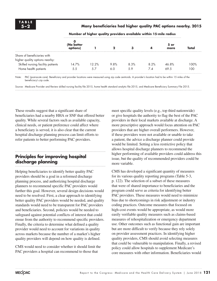**5–2 Many beneficiaries had higher quality PAC options nearby, 2015** 

|                                                               | (No better |       |      | з    |      | 5 or<br>more | Total |
|---------------------------------------------------------------|------------|-------|------|------|------|--------------|-------|
| Share of beneficiaries with<br>higher quality options nearby: |            |       |      |      |      |              |       |
| Skilled nursing facility patients                             | 14.7%      | 12.2% | 9.8% | 8.3% | 8.2% | 46.8%        | 100%  |
| Home health patients                                          | 5.5        | -5.7  |      | 59   | 7.4  | 69.5         | 00    |

**Number of higher quality providers available within 15-mile radius**

Note: PAC (post-acute care). Beneficiary and provider locations were measured using zip code centroids. A provider's location had to be within 15 miles of the beneficiary's zip code.

Source: Medicare Provider and Review skilled nursing facility file 2015, home health standard analytic file 2015, and Medicare Beneficiary Summary File 2015.

These results suggest that a significant share of beneficiaries had a nearby HHA or SNF that offered better quality. While several factors such as available capacity, clinical needs, or patient preference could affect where a beneficiary is served, it is also clear that the current hospital discharge planning process can limit efforts to refer patients to better performing PAC providers.

## **Principles for improving hospital discharge planning**

Helping beneficiaries to identify better quality PAC providers should be a goal in a reformed discharge planning process, and authorizing hospital discharge planners to recommend specific PAC providers would further this goal. However, several design decisions would need to be resolved. First, a clear approach to identifying better quality PAC providers would be needed, and quality standards would need to be transparent for PAC providers and beneficiaries. Second, policies would be needed to safeguard against potential conflicts of interest that could ensue from the authority to recommend specific providers. Finally, the criteria to determine what defined a quality provider would need to account for variations in quality across markets because the number of a market's higher quality providers will depend on how quality is defined.

CMS would need to consider whether it should limit the PAC providers a hospital can recommend to those that

meet specific quality levels (e.g., top third nationwide) or give hospitals the authority to flag the best of the PAC providers in their local markets available at discharge. A more prescriptive approach would focus attention on PAC providers that are higher overall performers. However, if these providers were not available or unable to take a patient, the advice a discharge planner could provide would be limited. Setting a less restrictive policy that allows hospital discharge planners to recommend the higher performing of available providers could address this issue, but the quality of recommended providers could be more variable.

CMS has developed a significant quantity of measures for its various quality reporting programs (Table 5-3, p. 122). The selection of a subset of these measures that were of shared importance to beneficiaries and the program could serve as criteria for identifying better PAC providers. These measures would need to minimize bias due to shortcomings in risk adjustment or industry coding practices. Outcome measures that focused on high-cost events would be appropriate, as would more easily verifiable quality measures such as claims-based measures of rehospitalization or emergency department use. Other outcomes such as functional gain are important but are more difficult to verify because they rely solely on provider assessment practices. In identifying higher quality providers, CMS should avoid selecting measures that could be vulnerable to manipulation. Finally, a revised policy could allow hospitals to supplement Medicare's core measures with other information. Beneficiaries would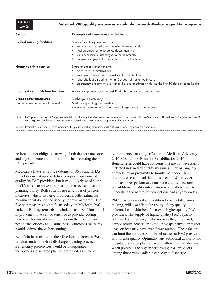**TABLE**

#### **5–3 Selected PAC quality measures available through Medicare quality programs**

| <b>Setting</b>                       | <b>Examples of measures available</b>                                                                                                                                                                                                                                        |  |  |
|--------------------------------------|------------------------------------------------------------------------------------------------------------------------------------------------------------------------------------------------------------------------------------------------------------------------------|--|--|
| <b>Skilled nursing facilities</b>    | Share of short-stay residents who:                                                                                                                                                                                                                                           |  |  |
|                                      | were rehospitalized after a nursing home admission                                                                                                                                                                                                                           |  |  |
|                                      | had an outpatient emergency department visit                                                                                                                                                                                                                                 |  |  |
|                                      | were successfully discharged to the community                                                                                                                                                                                                                                |  |  |
|                                      | received antipsychotic medication for the first time                                                                                                                                                                                                                         |  |  |
| <b>Home health agencies</b>          | Share of patients experiencing:                                                                                                                                                                                                                                              |  |  |
|                                      | acute care hospitalizations                                                                                                                                                                                                                                                  |  |  |
|                                      | emergency department use without hospitalization                                                                                                                                                                                                                             |  |  |
|                                      | rehospitalization during the first 30 days of home health care                                                                                                                                                                                                               |  |  |
|                                      | emergency department use without hospital readmission during the first 30 days of home health                                                                                                                                                                                |  |  |
| Inpatient rehabilitation facilities  | All-cause unplanned 30-day post-IRF discharge readmission measure                                                                                                                                                                                                            |  |  |
| <b>Cross-sector measures</b>         | Discharge to community                                                                                                                                                                                                                                                       |  |  |
| (not yet implemented in all sectors) | Medicare spending per beneficiary                                                                                                                                                                                                                                            |  |  |
|                                      | Potentially preventable 30-day postdischarge readmission measure                                                                                                                                                                                                             |  |  |
| Note:                                | PAC (post-acute care), IRF (inpatient rehabilitation facility). Includes certain measures from Skilled Nursing Home Compare and Home Health Compare websites. IRF<br>and long-term care hospital measures are from Medicare's quality reporting programs for these settings. |  |  |

Source: Information on Nursing Home Compare, IRF quality reporting measures, and LTCH quality reporting measures from CMS.

be free, but not obligated, to weigh both the core measures and any supplemental information when selecting their PAC provider.

Medicare's five-star rating systems for SNFs and HHAs reflect its current approach to a composite measure of quality for PAC providers, but it would likely need some modifications to serve as a measure in a revised discharge planning policy. Both systems use a number of process measures, which may give providers a better rating for measures that do not necessarily improve outcomes. The five-star measures do not focus solely on Medicare PAC patients. Both systems also include measures of functional improvement that can be sensitive to provider coding practices. A revised star-rating system that focuses on post-acute services and claims-based outcomes measures would address these shortcomings.

Beneficiaries must retain their freedom to choose a PAC provider under a revised discharge planning process. Beneficiary preferences would be incorporated in the options a discharge planner presented, as current

requirements encourage (Center for Medicare Advocacy 2016, Coalition to Preserve Rehabilitation 2016). Beneficiaries could have concerns that are not necessarily reflected in standard quality measures, such as language competency or proximity to family members. Their preferences could lead them to select a PAC provider that has lower performance on some quality measures, but additional quality information would allow them to understand the nature of their options and any trade-offs.

PAC provider capacity, in addition to patient decisionmaking, will also affect the ability of any quality information to shift beneficiaries to higher quality PAC providers. The supply of higher quality PAC capacity is finite. Facilities vary in the services they offer, and, consequently, beneficiaries requiring specialized or higher cost services may have even fewer options. These factors can limit the ability to shift beneficiaries to PAC providers with higher quality. Optimally, any additional authority for hospital discharge planners would allow them to identify, when possible, the higher performing PAC providers among those with available capacity at discharge.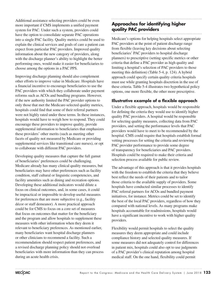Additional assistance selecting providers could be even more important if CMS implements a unified payment system for PAC. Under such a system, providers could have the option to consolidate separate PAC operations into a single PAC facility. Quality metrics could be used to explain the clinical services and goals of care a patient can expect from particular PAC providers. Improved quality information about the new category of providers, along with the discharge planner's ability to highlight the better performing ones, would make it easier for beneficiaries to choose among the options in a PAC PPS.

Improving discharge planning should also complement other efforts to improve value in Medicare. Hospitals have a financial incentive to encourage beneficiaries to use the PAC providers with which they collaborate under payment reforms such as ACOs and bundling programs. However, if the new authority limited the PAC provider options to only those that met the Medicare-selected quality metrics, hospitals could find that some of their referral partners were not highly rated under these terms. In these instances, hospitals would have to weigh how to respond. They could encourage these providers to improve quality, provide supplemental information to beneficiaries that emphasizes these providers' other merits (such as meeting other facets of quality not measured by Medicare or providing supplemental services like transitional care nurses), or opt to collaborate with different PAC providers.

Developing quality measures that capture the full gamut of beneficiaries' preferences could be challenging. Medicare already has many clinical quality measures, but beneficiaries may have other preferences such as facility condition, staff cultural or linguistic competencies, and facility amenities such as dining and recreation options. Developing these additional indicators would dilute a focus on clinical outcomes, and, in some cases, it could be impractical or impossible to develop useful measures for preferences that are more subjective (e.g., facility décor or staff demeanor). A more practical approach could be for CMS to focus on a core set of measures that focus on outcomes that matter for the beneficiary and the program and allow hospitals to supplement these measures with other information when they deem it relevant to beneficiary preferences. As mentioned earlier, many beneficiaries want hospital discharge planners or other clinicians to recommend a facility. Such a recommendation should respect patient preferences, and a revised discharge planning policy should not overload beneficiaries with more information than they can process during an acute health crisis.

## **Approaches for identifying higher quality PAC providers**

Medicare's options for helping hospitals select appropriate PAC providers at the point of patient discharge range from flexible (leaving key decisions about selecting beneficiaries' PAC providers to hospital discharge planners) to prescriptive (setting specific metrics or other criteria that define a PAC provider as high quality and limiting a hospital's selection of PAC providers to those meeting this definition) (Table 5-4, p. 124). A hybrid approach could specify certain quality criteria hospitals must use while granting hospitals discretion in the use of these criteria. Table 5-4 illustrates two hypothetical policy options, one more flexible, the other more prescriptive.

#### **Illustrative example of a flexible approach**

Under a flexible approach, hospitals would be responsible for defining the criteria they would use to identify higher quality PAC providers. A hospital would be responsible for selecting quality measures, collecting data from PAC providers, and setting the performance levels that PAC providers would have to meet to be recommended by the hospital. CMS could require that hospitals establish formal vetting processes for setting the criteria and reviewing PAC provider performance to provide some degree of transparency for beneficiaries and PAC providers. Hospitals could be required to make their criteria and selection process available for public review.

The advantage of this approach is that it provides hospitals with the freedom to establish the criteria that they believe best reflect the needs of their patients and to tailor those criteria to the available supply of providers. Some hospitals have conducted similar processes to identify PAC referral partners for ACOs and bundled payment initiatives, for instance. Metrics could be set to identify the best of the local PAC providers, regardless of how they compared with national levels. As many programs make hospitals accountable for readmissions, hospitals would have a significant incentive to work with higher quality providers.

Flexibility would permit hospitals to select the quality measures they deem appropriate and could include compliance history and selected quality measures. If some measures did not adequately control for differences in patient mix, hospitals could also opt to use judgments of a PAC provider's clinical reputation among hospital medical staff. On the one hand, flexibility could permit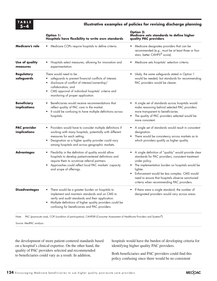

#### **5–4 Illustrative examples of policies for revising discharge planning**

|                                     | <b>Option 1:</b><br>Hospitals have flexibility to write own standards                                                                                                                                                                                                      | <b>Option 2:</b><br>Medicare sets standards to define higher<br>quality PAC providers                                                                                                                                                                                                                                                                   |
|-------------------------------------|----------------------------------------------------------------------------------------------------------------------------------------------------------------------------------------------------------------------------------------------------------------------------|---------------------------------------------------------------------------------------------------------------------------------------------------------------------------------------------------------------------------------------------------------------------------------------------------------------------------------------------------------|
| <b>Medicare's role</b>              | Medicare COPs require hospitals to define criteria.                                                                                                                                                                                                                        | Medicare designates providers that can be<br>recommended (e.g., must be at least three or four<br>stars, better CAHPS <sup>®</sup> score).                                                                                                                                                                                                              |
| Use of quality<br>measures          | Hospitals select measures, allowing for innovation and<br>experimentation.                                                                                                                                                                                                 | Medicare sets hospitals' selection criteria.                                                                                                                                                                                                                                                                                                            |
| <b>Regulatory</b><br>safeguards     | There would need to be:<br>safeguards to prevent financial conflicts of interest;<br>disclosure of conflict of interest/ownership/<br>collaboration; and<br>CMS approval of individual hospitals' criteria and<br>$\bullet$<br>monitoring of proper application.           | Likely, the same safeguards stated in Option 1<br>would be needed, but standards for recommending<br>PAC providers would be clearer.                                                                                                                                                                                                                    |
| <b>Beneficiary</b><br>implications  | Beneficiaries would receive recommendations that<br>reflect quality of PAC care in the market.<br>It could be confusing to have multiple definitions across<br>$\bullet$<br>hospitals.                                                                                     | A single set of standards across hospitals would<br>make reasoning behind selected PAC providers<br>more transparent to beneficiaries.<br>The quality of PAC providers selected would be<br>more consistent.                                                                                                                                            |
| <b>PAC provider</b><br>implications | Providers would have to consider multiple definitions if<br>working with many hospitals, potentially with different<br>measures for each setting.<br>Designation as a higher quality provider could vary<br>٠<br>among hospitals and across geographic markets.            | • A single set of standards would result in consistent<br>designation.<br>There would be consistency across markets as to<br>which providers qualify as higher quality.                                                                                                                                                                                 |
| <b>Advantages</b>                   | Flexibility in the definition of quality would allow<br>٠<br>hospitals to develop patient-centered definitions and<br>require them to scrutinize referral partners.<br>Approaches could reflect local PAC markets' capacity<br>and scope of offerings.                     | A single definition of "quality" would provide clear<br>$\bullet$<br>standards for PAC providers, consistent treatment<br>under policy.<br>The implementation burden on hospitals would be<br>lighter.<br>Enforcement would be less complex. CMS would<br>need to ensure that hospitals observe sanctioned<br>criteria when recommending PAC providers. |
| <b>Disadvantages</b>                | There would be a greater burden on hospitals to<br>implement and maintain standards and on CMS to<br>verify and audit standards and their application.<br>Multiple definitions of higher quality providers could be<br>٠<br>confusing for beneficiaries and PAC providers. | If there were a single standard, the number of<br>designated providers would vary across areas.                                                                                                                                                                                                                                                         |
| Note:                               | PAC (post-acute care), COP (condition of participation), CAHPS® (Consumer Assessment of Healthcare Providers and Systems®).                                                                                                                                                |                                                                                                                                                                                                                                                                                                                                                         |

Source: MedPAC analysis.

the development of more patient-centered standards based on a hospital's clinical expertise. On the other hand, the quality of PAC providers selected and recommended to beneficiaries could vary as a result. In addition,

hospitals would have the burden of developing criteria for identifying higher quality PAC providers.

Both beneficiaries and PAC providers could find this policy confusing since there would be no consistent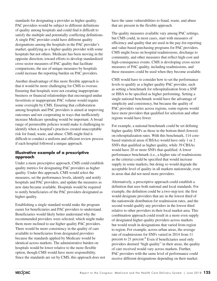standards for designating a provider as higher quality. PAC providers would be subject to different definitions of quality among hospitals and could find it difficult to satisfy the multiple and potentially conflicting definitions. A single PAC provider could have different quality designations among the hospitals in the PAC provider's market, qualifying as a higher quality provider with some hospitals but not others. Medicare has been moving in the opposite direction, toward efforts to develop standardized cross-sector measures of PAC quality that facilitate comparisons; the use of unique measures by hospitals could increase the reporting burden on PAC providers.

Another disadvantage of this more flexible approach is that it would be more challenging for CMS to oversee. Ensuring that hospitals were not creating inappropriate business or financial relationships that encouraged undue favoritism or inappropriate PAC volume would require some oversight by CMS. Ensuring that collaboration among hospitals and PAC providers is aimed at improving outcomes and not cooperating in ways that inefficiently increase Medicare spending would be important. A broad range of permissible policies would make it challenging to identify when a hospital's practices created unacceptable risk for fraud, waste, and abuse. CMS might find it difficult to conduct a uniform and efficient review process if each hospital followed a unique approach.

#### **Illustrative example of a prescriptive approach**

Under a more prescriptive approach, CMS could establish quality metrics for designating PAC providers as higher quality. Under this approach, CMS would select the measures, set the performance levels, identify and notify hospitals and PAC providers, and update the measures as new data became available. Hospitals would be required to notify beneficiaries of the PAC providers designated as higher quality.

Establishing a single standard would make the program easier for beneficiaries and PAC providers to understand. Beneficiaries would likely better understand why the recommended providers were selected, which might make them more inclined to use higher quality PAC providers. There would be more consistency in the quality of care available to beneficiaries from designated providers because the standards applied by Medicare would be identical across markets. The administrative burden on hospitals would be lower relative to the more flexible option, though CMS would have more responsibility. Since the standards are set by CMS, this approach does not have the same vulnerabilities to fraud, waste, and abuse that are present in the flexible approach.

The quality measures available vary among PAC settings, but CMS could, in most cases, start with measures of efficiency and quality that are used in the pay-for-reporting and value-based purchasing programs for PAC providers. CMS might focus on hospital readmissions, discharge to community, and other measures that reflect high-cost and high-consequence events. CMS is developing cross-sector measures of PAC quality, including readmissions, and these measures could be used when they become available.

CMS would have to consider how to set the performance levels to qualify as a higher quality PAC provider, such as setting a benchmark for rehospitalization from a SNF or HHA to be specified as higher performing. Setting a single national benchmark would have the advantage of simplicity and consistency, but because the quality of PAC providers varies across regions, some regions would have more providers that qualified for selection and other regions would have fewer.

For example, a national benchmark could be set defining higher quality SNFs as those in the bottom third (lowest) on rehospitalization rates. With this benchmark, 114 corebased statistical areas (CBSAs) would have only 1 or 2 SNFs that qualified as higher quality, while 39 CBSAs would have 20 or more SNFs that qualified. A lower performance benchmark (i.e., a higher rate of readmissions as the criteria) could be specified that would increase supply in some markets, but doing so would degrade the acceptable level of quality in all markets nationwide, even in areas that did not need more providers.

Alternatively, a prescriptive approach could establish a definition that uses both national and local standards. For example, the definition could be a two-step test: the first would designate providers that are in the lowest third of the nationwide distribution for readmission rates, and the second would qualify any providers in the lowest third relative to other providers in their local market area. This combination approach could result in a more even supply of designated higher quality providers across markets but would result in designations that varied from region to region. For example, across urban areas, the average rate of readmissions for SNFs varied in 2014 from 11 percent to 21 percent.<sup>6</sup> Even if beneficiaries used only providers deemed "high quality" in their areas, the quality of care received would vary across markets. Further, PAC providers with the same level of performance could receive different designations depending on their market.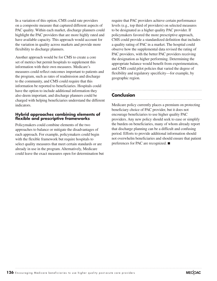In a variation of this option, CMS could rate providers on a composite measure that captured different aspects of PAC quality. Within each market, discharge planners could highlight the PAC providers that are more highly rated and have available capacity. This approach would account for the variation in quality across markets and provide more flexibility to discharge planners.

Another approach would be for CMS to create a core set of metrics but permit hospitals to supplement this information with their own measures. Medicare's measures could reflect outcomes important to patients and the program, such as rates of readmission and discharge to the community, and CMS could require that this information be reported to beneficiaries. Hospitals could have the option to include additional information they also deem important, and discharge planners could be charged with helping beneficiaries understand the different indicators.

#### **Hybrid approaches combining elements of flexible and prescriptive frameworks**

Policymakers could combine elements of the two approaches to balance or mitigate the disadvantages of each approach. For example, policymakers could begin with the flexible framework but require hospitals to select quality measures that meet certain standards or are already in use in the program. Alternatively, Medicare could leave the exact measures open for determination but require that PAC providers achieve certain performance levels (e.g., top third of providers) on selected measures to be designated as a higher quality PAC provider. If policymakers favored the more prescriptive approach, CMS could provide a standardized definition that includes a quality rating of PAC in a market. The hospital could observe how the supplemental data revised the rating of PAC providers, with the better PAC providers receiving the designation as higher performing. Determining the appropriate balance would benefit from experimentation, and CMS could pilot policies that varied the degree of flexibility and regulatory specificity—for example, by geographic region.

### **Conclusion**

Medicare policy currently places a premium on protecting beneficiary choice of PAC provider, but it does not encourage beneficiaries to use higher quality PAC providers. Any new policy should seek to ease or simplify the burden on beneficiaries, many of whom already report that discharge planning can be a difficult and confusing period. Efforts to provide additional information should not overwhelm beneficiaries and should ensure that patient preferences for PAC are recognized. ■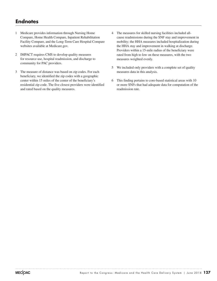## **Endnotes**

- 1 Medicare provides information through Nursing Home Compare, Home Health Compare, Inpatient Rehabilitation Facility Compare, and the Long-Term Care Hospital Compare websites available at Medicare.gov.
- 2 IMPACT requires CMS to develop quality measures for resource use, hospital readmission, and discharge to community for PAC providers.
- 3 The measure of distance was based on zip codes. For each beneficiary, we identified the zip codes with a geographic center within 15 miles of the center of the beneficiary's residential zip code. The five closest providers were identified and rated based on the quality measures.
- 4 The measures for skilled nursing facilities included allcause readmissions during the SNF stay and improvement in mobility; the HHA measures included hospitalization during the HHA stay and improvement in walking at discharge. Providers within a 15-mile radius of the beneficiary were rated from high to low on these measures, with the two measures weighted evenly.
- 5 We included only providers with a complete set of quality measures data in this analysis.
- 6 This finding pertains to core-based statistical areas with 10 or more SNFs that had adequate data for computation of the readmission rate.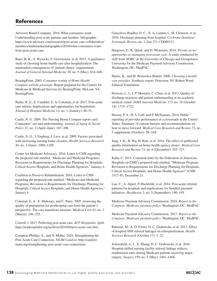## **References**

Advisory Board Company. 2016. What consumers want: Understanding post-acute patients and families. Infographic. https://www.advisory.com/research/post-acute-care-collaborative/ members/multimedia/infographics/2016/what-consumers-wantfrom-post-acute-care.

Baier, R. R., A. Wysocki, S. Gravenstein, et al. 2015. A qualitative study of choosing home health care after hospitalization: The unintended consequences of 'patient choice' requirements. *Journal of General Internal Medicine* 30, no. 5 (May): 634–640.

BearingPoint. 2003. *Consumer testing of Home Health Compare website prototype.* Report prepared for the Centers for Medicare & Medicaid Services by BearingPoint. McLean, VA: BearingPoint.

Burke, R. E., E. Cumbler, E. A. Coleman, et al. 2017. Post-acute care reform: Implications and opportunities for hospitalists. *Journal of Hospital Medicine* 12, no. 1 (January): 46–51.

Castle, N. G. 2009. The Nursing Home Compare report card: Consumers' use and understanding. *Journal of Aging & Social Policy* 21, no. 2 (April–June): 187–208.

Castle, N. G., J. Engberg, J. Lave, et al. 2009. Factors associated with increasing nursing home closures. *Health Services Research*  44, no. 3 (June): 1088–1109.

Center for Medicare Advocacy. 2016. Letter to CMS regarding the proposed rule entitled, "Medicare and Medicaid Programs; Revisions to Requirements for Discharge Planning for Hospitals, Critical Access Hospitals, and Home Health Agencies," January 4.

Coalition to Preserve Rehabilitation. 2016. Letter to CMS regarding the proposed rule entitled, "Medicare and Medicaid Programs; Revisions to Requirements for Discharge Planning for Hospitals, Critical Access Hospitals, and Home Health Agencies," January 4.

Coleman, E. A., E. Mahoney, and C. Parry. 2005. Assessing the quality of preparation for posthospital care from the patient's perspective: The care transitions measure. *Medical Care* 43, no. 3 (March): 246–255.

Colwell, J. 2017. Perfecting post-acute care. *ACP Hospitalist*, April. https://acphospitalist.org/archives/2016/04/post-acute-care.htm.

Compton-Phillips, A., and N. Mohta. 2016. Strengthening the Post-Acute Care Connection. *NEJM Catalyst*. http://catalyst. nejm.org/strengthening-post-acute-care-connection/.

Goncalves-Bradley, D. C., N. A. Lannin, L. M. Clemson, et al. 2016. Discharge planning from hospital. *Cochrane Database Systematic Review*, no. 1 (Jan 27): CD000313.

Hargrave, E., K. Quirk, and D. Weinstein. 2014. *Private sector approaches to managing post-acute care*. A study conducted by staff from NORC at the University of Chicago and Georgetown University for the Medicare Payment Advisory Commission. Washington, DC: MedPAC.

Harris, K., and M. Beeuwkes-Buntin. 2008. *Choosing a health care provider*. Synthesis report. Princeton, NJ: Robert Wood Johnson Foundation.

Horwitz, L. I., J. P. Moriarty, C. Chen, et al. 2013. Quality of discharge practices and patient understanding at an academic medical center. *JAMA Internal Medicine* 173, no. 18 (October 14): 1715–1722.

Hussey, P. S., H. S. Luft, and P. McNamara. 2014. Public reporting of provider performance at a crossroads in the United States: Summary of current barriers and recommendations on how to move forward. *Medical Care Research and Review* 71, no. 5 supplement (October): 5S–16S.

Jung, J. K., B. Wu, H. Kim, et al. 2016. The effect of publicized quality information on home health agency choice. *Medical Care Research and Review* 73, no. 6 (December): 703–723.

Kahn, C. 2015. Comment letter by the Federation of American Hospitals on CMS's proposed rule entitled, "Medicare Program; Revisions to Requirements for Discharge Planning for Hospitals, Critical Access Hospitals, and Home Health Agencies" (CMS 3317–P). December 21.

Lau, C., A. Alpert, P. Huckfeldt, et al. 2014. Post-acute referral patterns for hospitals and implications for bundled payment initiatives. *Healthcare* 2, no. 3 (September): 190–195.

Medicare Payment Advisory Commission. 2018. *Report to the Congress: Medicare payment policy*. Washington, DC: MedPAC.

Medicare Payment Advisory Commission. 2017. *Report to the Congress: Medicare payment policy*. Washington, DC: MedPAC.

Rahman, M., A. D. Foster, D. C. Grabowski, et al. 2013. Effect of hospital-SNF referral linkages on rehospitalization. *Health Services Research* (October 17): 1–22.

Schoenfeld, A. J., X. Zhang, D. C. Grabowski, et al. 2016. Hospital-skilled nursing facility referral linkage reduces readmission rates among Medicare patients receiving major surgery. *Surgery* 159, no. 5 (May): 1461–1468.